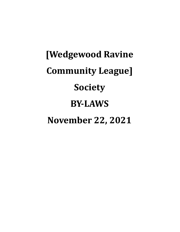# **[Wedgewood Ravine Community League] Society BY-LAWS November 22, 2021**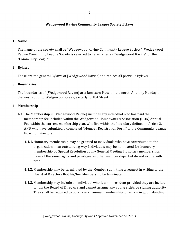## **Wedgewood Ravine Community League Society Bylaws**

### **1. Name**

The name of the society shall be "Wedgewood Ravine Community League Society". Wedgewood Ravine Community League Society is referred to hereinafter as "Wedgewood Ravine" or the "Community League".

## **2. Bylaws**

These are the general Bylaws of [Wedgewood Ravine]and replace all previous Bylaws.

### **3. Boundaries**

The boundaries of [Wedgewood Ravine] are: Jamieson Place on the north, Anthony Henday on the west, south to Wedgewood Creek, easterly to 184 Street.

### **4. Membership**

- **4.1.** The Membership in [Wedgewood Ravine] includes any individual who has paid the membership fee included within the Wedgewood Homeowner's Association (HOA) Annual Fee within the current membership year, who live within the boundary defined in Article 2, AND who have submitted a completed "Member Registration Form" to the Community League Board of Directors.
	- **4.1.1.** Honorary membership may be granted to individuals who have contributed to the organization in an outstanding way. Individuals may be nominated for honorary membership by Special Resolution at any General Meeting. Honorary memberships have all the same rights and privileges as other memberships, but do not expire with time.
	- **4.1.2.** Membership may be terminated by the Member submitting a request in writing to the Board of Directors that his/her Membership be terminated.
	- **4.1.3.** Membership may include an individual who is a non-resident provided they are invited to join the Board of Directors and cannot assume any voting rights or signing authority. They shall be required to purchase an annual membership to remain in good standing.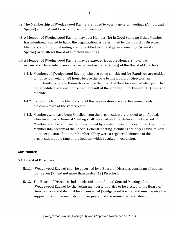- **4.2.** The Membership of [Wedgewood Ravine]is entitled to vote at general meetings (Annual and Special) and to attend Board of Directors meetings.
- **4.3.** A Member of [Wedgewood Ravine] may be a Member Not in Good Standing if that Member has intentionally acted to harm the organization, as determined by the Board of Directors. Members Not in Good Standing are not entitled to vote at general meetings (Annual and Special) or to attend Board of Directors meetings.
- **4.4.** A Member of [Wedgewood Ravine] may be Expelled from the Membership of the organization by a vote of seventy-five percent or more  $(≥75%)$  of the Board of Directors.
	- **4.4.1.** Members of [Wedgewood Ravine] who are being considered for Expulsion are entitled to notice forty-eight (48) hours before the vote by the Board of Directors, an opportunity to defend themselves before the Board of Directors immediately prior to the scheduled vote and notice on the result of the vote within forty-eight (48) hours of the vote.
	- **4.4.2.** Expulsions from the Membership of the organization are effective immediately upon the completion of the vote to expel.
	- **4.4.3.** Members who have been Expelled from the organization are entitled to an Appeal, wherein a Special General Meeting shall be called and the status of the Expelled Member shall be confirmed or overturned by a vote of two-thirds or more  $(≥^{2}/3)$  of the Membership present at the Special General Meeting. Members are only eligible to vote on the expulsion of another Member if they were a registered Member of the organization at the time of the incident which resulted in expulsion.

## **5. Governance**

# **5.1. Board of Directors**

- **5.1.1.** [Wedgewood Ravine] shall be governed by a Board of Directors consisting of not less than seven (7) and not more than twelve (12) Directors.
- **5.1.2.** The Board of Directors shall be elected at the Annual General Meeting of the [Wedgewood Ravine] by the voting members. In order to be elected to the Board of Directors, a candidate must be a member of [Wedgewood Ravine] and must receive the support of a simple majority of those present at the Annual General Meeting.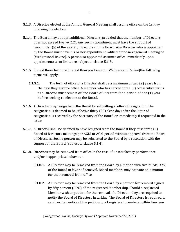- **5.1.3.** A Director elected at the Annual General Meeting shall assume ofice on the 1st day following the election.
- **5.1.4.** The Board may appoint additional Directors, provided that the number of Directors does not exceed twelve (12). Any such appointment must have the support of two-thirds (⅔) of the existing Directors on the Board. Any Director who is appointed by the Board must have his or her appointment ratiied at the next general meeting of [Wedgewood Ravine]. A person so appointed assumes ofice immediately upon appointment; term limits are subject to clause **5.1.5.**.
- **5.1.5.** Should there be more interest than positions on [Wedgewood Ravine]the following terms will apply:
	- **5.1.5.1.** The term of ofice of a Director shall be a maximum of two (2) years from the date they assume ofice. A member who has served three (3) consecutive terms as a Director must remain off the Board of Directors for a period of one (1) year before seeking re-election to the Board.
- **5.1.6.** A Director may resign from the Board by submitting a letter of resignation. The resignation is deemed to be effective thirty (30) clear days after the letter of resignation is received by the Secretary of the Board or immediately if requested in the letter.
- **5.1.7.** A Director shall be deemed to have resigned from the Board if they miss three (3) Board of Directors meetings per AGM-to-AGM period without approval from the Board of Directors. Such a person may be reinstated to the Board by a resolution with the support of the Board (subject to clause 5.1.4).
- **5.1.8.** Directors may be removed from ofice in the case of unsatisfactory performance and/or inappropriate behaviour.
	- **5.1.8.1.** A Director may be removed from the Board by a motion with two-thirds ( $\geq \frac{2}{3}$ ) of the Board in favor of removal. Board members may not vote on a motion for their removal from ofice.
	- **5.1.8.2.** A Director may be removed from the Board by a petition for removal signed by ifty percent (50%) of the registered Membership. Should a registered Member wish to petition for the removal of a Director, they are required to notify the Board of Directors in writing. The Board of Directors is required to send written notice of the petition to all registered members within fourteen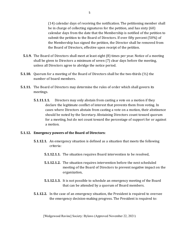(14) calendar days of receiving the notiication. The petitioning member shall be in charge of collecting signatures for the petition, and has sixty (60) calendar days from the date that the Membership is notiied of the petition to submit the petition to the Board of Directors. If over ifty percent (50%) of the Membership has signed the petition, the Director shall be removed from the Board of Directors, effective upon receipt of the petition.

- **5.1.9.** The Board of Directors shall meet at least eight (8) times per year. Notice of a meeting shall be given to Directors a minimum of seven (7) clear days before the meeting, unless all Directors agree to abridge the notice period.
- **5.1.10.** Quorum for a meeting of the Board of Directors shall be the two-thirds (⅔) the number of board members.
- **5.1.11.** The Board of Directors may determine the rules of order which shall govern its meetings.
	- **5.1.11.1.1.** Directors may only abstain from casting a vote on a motion if they declare the legitimate conlict of interest that prevents them from voting. In cases where Directors abstain from casting a vote on a motion, their abstinence should be noted by the Secretary. Abstaining Directors count toward quorum for a meeting, but do not count toward the percentage of support for or against a motion.

## **5.1.12. Emergency powers of the Board of Directors:**

- **5.1.12.1.** An emergency situation is defined as a situation that meets the following criteria:
	- **5.1.12.1.1.** The situation requires Board intervention to be resolved,
	- **5.1.12.1.2.** The situation requires intervention before the next scheduled meeting of the Board of Directors to prevent negative impact on the organization,
	- **5.1.12.1.3.** It is not possible to schedule an emergency meeting of the Board that can be attended by a quorum of Board members.
- **5.1.12.2.** In the case of an emergency situation, the President is required to oversee the emergency decision-making progress. The President is required to: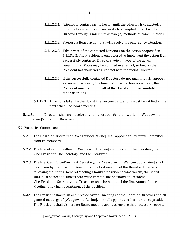- **5.1.12.2.1.** Attempt to contact each Director until the Director is contacted, or until the President has unsuccessfully attempted to contact the Director through a minimum of two (2) methods of communication,
- **5.1.12.2.2.** Propose a Board action that will resolve the emergency situation,
- **5.1.12.2.3.** Take a vote of the contacted Directors on the action proposed in 5.1.13.2.2. The President is empowered to implement the action if all successfully contacted Directors vote in favor of the action (unanimous). Votes may be counted over email, so long as the President has made verbal contact with the voting Director.
- **5.1.12.2.4.** If the successfully contacted Directors do not unanimously support a course of action by the time that Board action is required, the President must act on behalf of the Board and be accountable for those decisions.
- **5.1.12.3.** All actions taken by the Board in emergency situations must be ratified at the next scheduled board meeting.
- **5.1.13.** Directors shall not receive any remuneration for their work on [Wedgewood Ravine]'s Board of Directors.

## **5.2. Executive Committee**

- **5.2.1.** The Board of Directors of [Wedgewood Ravine] shall appoint an Executive Committee from its members.
- **5.2.2.** The Executive Committee of [Wedgewood Ravine] will consist of the President, the Vice-President, The Secretary, and the Treasurer.
- **5.2.3.** The President, Vice-President, Secretary, and Treasurer of [Wedgewood Ravine] shall be chosen by the Board of Directors at the first meeting of the Board of Directors following the Annual General Meeting. Should a position become vacant, the Board shall fill it as needed. Unless otherwise vacated, the positions of President, Vice-President, Secretary and Treasurer shall be held until the irst Annual General Meeting following appointment of the positions.
- **5.2.4.** The President shall plan and preside over all meetings of the Board of Directors and all general meetings of [Wedgewood Ravine], or shall appoint another person to preside. The President shall also create Board meeting agendas, ensure that necessary reports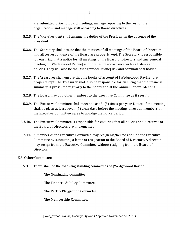are submitted prior to Board meetings, manage reporting to the rest of the organization, and manage staff according to Board directives.

- **5.2.5.** The Vice-President shall assume the duties of the President in the absence of the President.
- **5.2.6.** The Secretary shall ensure that the minutes of all meetings of the Board of Directors and all correspondence of the Board are properly kept. The Secretary is responsible for ensuring that a notice for all meetings of the Board of Directors and any general meeting of [Wedgewood Ravine] is published in accordance with its Bylaws and policies. They will also be the [Wedgewood Ravine] key and common Seal holder.
- **5.2.7.** The Treasurer shall ensure that the books of account of [Wedgewood Ravine] are properly kept. The Treasurer shall also be responsible for ensuring that the inancial summary is presented regularly to the board and at the Annual General Meeting.
- **5.2.8.** The Board may add other members to the Executive Committee as it sees it.
- **5.2.9.** The Executive Committee shall meet at least 8 (8) times per year. Notice of the meeting shall be given at least seven (7) clear days before the meeting, unless all members of the Executive Committee agree to abridge the notice period.
- **5.2.10.** The Executive Committee is responsible for ensuring that all policies and directives of the Board of Directors are implemented.
- **5.2.11.** A member of the Executive Committee may resign his/her position on the Executive Committee by submitting a letter of resignation to the Board of Directors. A director may resign from the Executive Committee without resigning from the Board of Directors.

## **5.3. Other Committees**

**5.3.1.** There shall be the following standing committees of [Wedgewood Ravine]:

The Nominating Committee,

The Financial & Policy Committee,

The Park & Playground Committee,

The Membership Committee,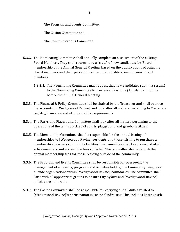The Program and Events Committee,

The Casino Committee and,

The Communications Committee.

- **5.3.2.** The Nominating Committee shall annually complete an assessment of the existing Board Members. They shall recommend a "slate" of new candidates for Board membership at the Annual General Meeting, based on the qualifications of outgoing Board members and their perception of required qualifications for new Board members.
	- **5.3.2.1.** The Nominating Committee may request that new candidates submit a resumé to the Nominating Committee for review at least one (1) calendar months before the Annual General Meeting.
- **5.3.3.** The Financial & Policy Committee shall be chaired by the Treasurer and shall oversee the accounts of [Wedgewood Ravine] and look after all matters pertaining to Corporate registry, insurance and all other policy requirements.
- **5.3.4.** The Parks and Playground Committee shall look after all matters pertaining to the operations of the tennis/pickleball courts, playground and gazebo facilities.
- **5.3.5.** The Membership Committee shall be responsible for the annual issuing of memberships to [Wedgewood Ravine] residents and those wishing to purchase a membership to access community facilities. The committee shall keep a record of all active members and account for fees collected. The committee shall establish the annual membership fees for those residing outside of the community.
- **5.3.6.** The Program and Events Committee shall be responsible for overseeing the management of all events, programs and activities held by the Community League or outside organizations within [Wedgewood Ravine] boundaries. The committee shall liaise with all appropriate groups to ensure City bylaws and [Wedgewood Ravine] policies are adhered to.
- **5.3.7.** The Casino Committee shall be responsible for carrying out all duties related to [Wedgewood Ravine]'s participation in casino fundraising. This includes liaising with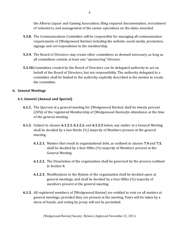the Alberta Liquor and Gaming Association, iling required documentation, recruitment of volunteers, and management of the casino operations on the dates awarded.

- **5.3.8.** The Communications Committee will be responsible for managing all communication requirements of [Wedgewood Ravine] including the website, social media, promotion, signage and correspondence to the membership.
- **5.3.9.** The Board of Directors may create other committees as deemed necessary, as long as all committees contain at least one "sponsoring" Director.
- **5.3.10.**Committees created by the Board of Directors can be delegated authority to act on behalf of the Board of Directors, but not responsibility. The authority delegated to a committee shall be limited to the authority explicitly described in the motion to create the committee.

## **6. General Meetings**

## **6.1. General (Annual and Special)**

- **6.1.1.** The Quorum at a general meeting for [Wedgewood Ravine] shall be twenty percent (20%) of the registered Membership of [Wedgewood Ravine]in attendance at the time of the general meeting.
- **6.1.2.** Subject to clauses **6.1.2.1**, **6.1.2.2**, and **6.1.2.3** below, any matter at a General Meeting shall be decided by a two-thirds (⅔) majority of Members present at the general meeting.
	- **6.1.2.1.** Matters that result in organizational debt, as outlined in clauses **7.4** and **7.5**, shall be decided by a four-fifths  $(4/5)$  majority of Members present at the General Meeting.
	- **6.1.2.2.** The Dissolution of the organization shall be governed by the process outlined in Section **9**.
	- **6.1.2.3.** Modiications to the Bylaws of the organization shall be decided upon at general meetings, and shall be decided by a four-ifths (⅘) majority of members present at the general meeting.
- **6.1.3.** All registered members of [Wedgewood Ravine] are entitled to vote on all matters at general meetings, provided they are present at the meeting. Votes will be taken by a show of hands, and voting by proxy will not be permitted.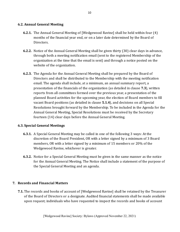## **6.2. Annual General Meeting**

- **6.2.1.** The Annual General Meeting of [Wedgewood Ravine] shall be held within four (4) months of the inancial year end, or on a later date determined by the Board of Directors.
- **6.2.2.** Notice of the Annual General Meeting shall be given thirty (30) clear days in advance, through both a meeting notification email (sent to the registered Membership of the organization at the time that the email is sent) and through a notice posted on the website of the organization.
- **6.2.3.** The Agenda for the Annual General Meeting shall be prepared by the Board of Directors and shall be distributed to the Membership with the meeting notification email. The agenda shall include, at a minimum, an annual summary report, a presentation of the inancials of the organization (as detailed in clause **7.3**), written reports from all committees formed over the previous year, a presentation of the planned Board activities for the upcoming year, the election of Board members to ill vacant Board positions (as detailed in clause **5.1.4**), and decisions on all Special Resolutions brought forward by the Membership. To be included in the Agenda for the Annual General Meeting, Special Resolutions must be received by the Secretary fourteen (14) clear days before the Annual General Meeting.

## **6.3. Special General Meetings**

- **6.3.1.** A Special General Meeting may be called in one of the following 3 ways: At the discretion of the Board President, OR with a letter signed by a minimum of 3 Board members, OR with a letter signed by a minimum of 15 members or 20% of the Wedgewood Ravine, whichever is greater.
- **6.3.2.** Notice for a Special General Meeting must be given in the same manner as the notice for the Annual General Meeting. The Notice shall include a statement of the purpose of the Special General Meeting and an agenda.

#### **7. Records and Financial Matters**

**7.1.** The records and books of account of [Wedgewood Ravine] shall be retained by the Treasurer of the Board of Directors or a designate. Audited inancial statements shall be made available upon request; individuals who have requested to inspect the records and books of account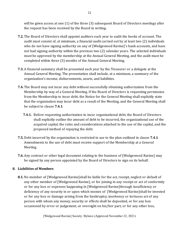will be given access at one (1) of the three (3) subsequent Board of Directors meetings after the request has been received by the Board in writing.

- **7.2.** The Board of Directors shall appoint auditors each year to audit the books of account. The audit must consist of, at minimum, a financial audit carried out by at least two (2) individuals who do not have signing authority on any of [Wedgewood Ravine]'s bank accounts, and have not had signing authority within the previous two (2) calendar years. The selected individuals must be approved by the membership at the Annual General Meeting, and the audit must be completed within three (3) months of the Annual General Meeting.
- **7.3.** A inancial summary shall be presented each year by the Treasurer or a delegate at the Annual General Meeting. The presentation shall include, at a minimum, a summary of the organization's income, disbursements, assets, and liabilities.
- **7.4.** The Board may not incur any debt without successfully obtaining authorization from the Membership by way of a General Meeting. If the Board of Directors is requesting permission from the Membership to incur debt, the Notice for the General Meeting shall explicitly state that the organization may incur debt as a result of the Meeting, and the General Meeting shall be subject to clause **7.4.1**.
	- **7.4.1.** Before requesting authorization to incur organizational debt, the Board of Directors shall explicitly outline the amount of debt to be incurred, the organizational use of the acquired capital, the rules and considerations attached to the use of the capital, and the proposed method of repaying the debt.
- **7.5.** Debt incurred by the organization is restricted in use to the plan outlined in clause **7.4.1**. Amendments to the use of debt must receive support of the Membership at a General Meeting.
- **7.6.** Any contract or other legal document relating to the business of [Wedgewood Ravine] may be signed by any person appointed by the Board of Directors to sign on its behalf.

# **8. Liabilities of Members**

**8.1.** No member of [Wedgewood Ravine]shall be liable for the act, receipt, neglect or default of any other member of [Wedgewood Ravine], or for joining in any receipt or act of conformity or for any loss or expenses happening in [Wedgewood Ravine]through insuficiency or deficiency of any security in or upon which monies of [Wedgewood Ravine]shall be invested or for any loss or damage arising from the bankruptcy, insolvency or tortuous act of any person with whom any money, security or effects shall be deposited, or for any loss occasioned by error or judgement, or oversight on his/her part, or for any other loss,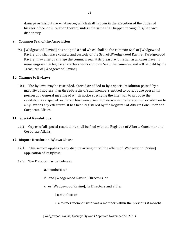damage or misfortune whatsoever, which shall happen in the execution of the duties of his/her ofice, or in relation thereof, unless the same shall happen through his/her own dishonesty.

# **9. Common Seal of the Association**

**9.1.** [Wedgewood Ravine] has adopted a seal which shall be the common Seal of [Wedgewood Ravine]and shall have control and custody of the Seal of .[Wedgewood Ravine]. [Wedgewood Ravine] may alter or change the common seal at its pleasure, but shall in all cases have its name engraved in legible characters on its common Seal. The common Seal will be held by the Treasurer of [Wedgewood Ravine].

## **10. Changes to By-Laws**

**10.1.** The by-laws may be rescinded, altered or added to by a special resolution passed by a majority of not less than three-fourths of such members entitled to vote, as are present in person at a General meeting of which notice specifying the intention to propose the resolution as a special resolution has been given. No rescission or alteration of, or addition to a by-law has any effect until it has been registered by the Registrar of Alberta Consumer and Corporate Affairs.

## **11. Special Resolutions**

**11.1.** Copies of all special resolutions shall be iled with the Registrar of Alberta Consumer and Corporate Affairs.

# **12. Dispute Resolution Bylaws Clause**

- 12.1. This section applies to any dispute arising out of the affairs of [Wedgewood Ravine] application of its bylaws:
- 12.2. The Dispute may be between:
	- a. members, or
	- b. and [Wedgewood Ravine] Directors, or
	- c. or [Wedgewood Ravine], its Directors and either
		- i. a member, or
		- ii. a former member who was a member within the previous # months.

[Wedgewood Ravine] Society: Bylaws (Approved November 22, 2021)